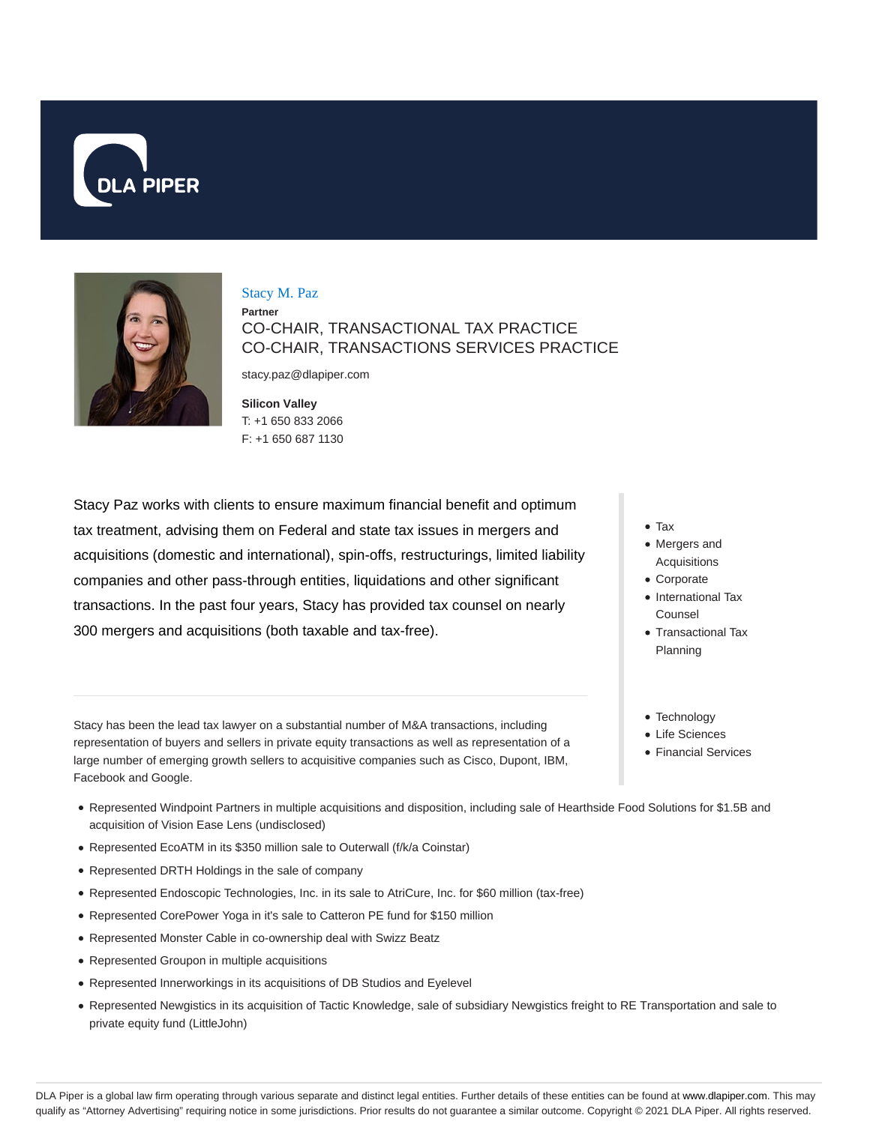



#### Stacy M. Paz

**Partner** CO-CHAIR, TRANSACTIONAL TAX PRACTICE CO-CHAIR, TRANSACTIONS SERVICES PRACTICE

stacy.paz@dlapiper.com

**Silicon Valley** T: +1 650 833 2066 F: +1 650 687 1130

Stacy Paz works with clients to ensure maximum financial benefit and optimum tax treatment, advising them on Federal and state tax issues in mergers and acquisitions (domestic and international), spin-offs, restructurings, limited liability companies and other pass-through entities, liquidations and other significant transactions. In the past four years, Stacy has provided tax counsel on nearly 300 mergers and acquisitions (both taxable and tax-free).

- Tax
- Mergers and Acquisitions
- Corporate
- International Tax Counsel
- Transactional Tax Planning
- Technology
- Life Sciences
- Financial Services

Stacy has been the lead tax lawyer on a substantial number of M&A transactions, including representation of buyers and sellers in private equity transactions as well as representation of a large number of emerging growth sellers to acquisitive companies such as Cisco, Dupont, IBM, Facebook and Google.

- Represented Windpoint Partners in multiple acquisitions and disposition, including sale of Hearthside Food Solutions for \$1.5B and acquisition of Vision Ease Lens (undisclosed)
- Represented EcoATM in its \$350 million sale to Outerwall (f/k/a Coinstar)
- Represented DRTH Holdings in the sale of company
- Represented Endoscopic Technologies, Inc. in its sale to AtriCure, Inc. for \$60 million (tax-free)
- Represented CorePower Yoga in it's sale to Catteron PE fund for \$150 million
- Represented Monster Cable in co-ownership deal with Swizz Beatz
- Represented Groupon in multiple acquisitions
- Represented Innerworkings in its acquisitions of DB Studios and Eyelevel
- Represented Newgistics in its acquisition of Tactic Knowledge, sale of subsidiary Newgistics freight to RE Transportation and sale to private equity fund (LittleJohn)